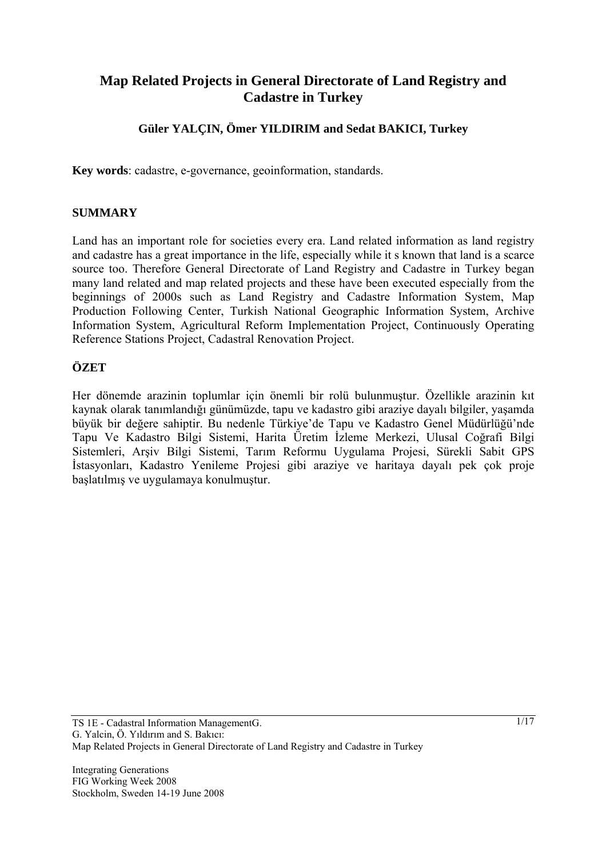# **Map Related Projects in General Directorate of Land Registry and Cadastre in Turkey**

## **Güler YALÇIN, Ömer YILDIRIM and Sedat BAKICI, Turkey**

**Key words**: cadastre, e-governance, geoinformation, standards.

#### **SUMMARY**

Land has an important role for societies every era. Land related information as land registry and cadastre has a great importance in the life, especially while it s known that land is a scarce source too. Therefore General Directorate of Land Registry and Cadastre in Turkey began many land related and map related projects and these have been executed especially from the beginnings of 2000s such as Land Registry and Cadastre Information System, Map Production Following Center, Turkish National Geographic Information System, Archive Information System, Agricultural Reform Implementation Project, Continuously Operating Reference Stations Project, Cadastral Renovation Project.

#### **ÖZET**

Her dönemde arazinin toplumlar için önemli bir rolü bulunmuştur. Özellikle arazinin kıt kaynak olarak tanımlandığı günümüzde, tapu ve kadastro gibi araziye dayalı bilgiler, yaşamda büyük bir değere sahiptir. Bu nedenle Türkiye'de Tapu ve Kadastro Genel Müdürlüğü'nde Tapu Ve Kadastro Bilgi Sistemi, Harita Üretim İzleme Merkezi, Ulusal Coğrafi Bilgi Sistemleri, Arşiv Bilgi Sistemi, Tarım Reformu Uygulama Projesi, Sürekli Sabit GPS İstasyonları, Kadastro Yenileme Projesi gibi araziye ve haritaya dayalı pek çok proje başlatılmış ve uygulamaya konulmuştur.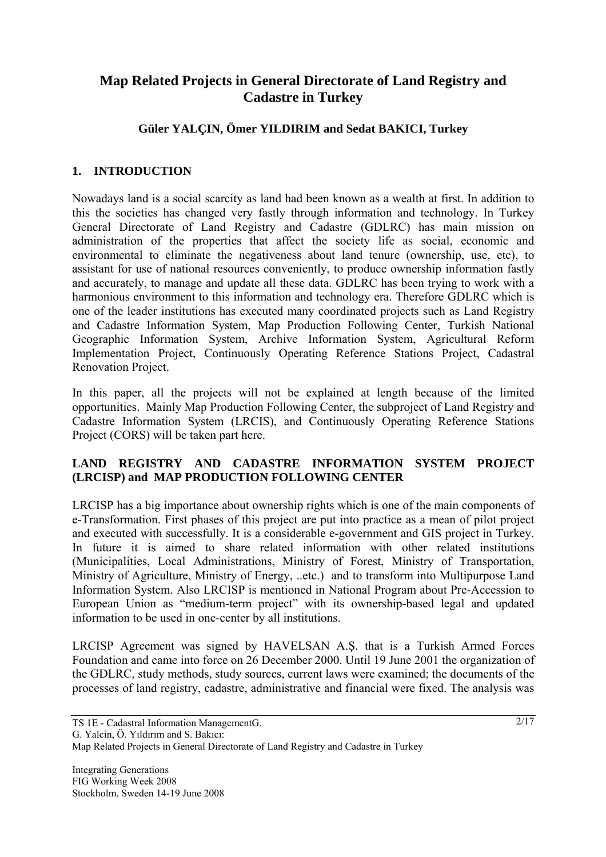# **Map Related Projects in General Directorate of Land Registry and Cadastre in Turkey**

## **Güler YALÇIN, Ömer YILDIRIM and Sedat BAKICI, Turkey**

### **1. INTRODUCTION**

Nowadays land is a social scarcity as land had been known as a wealth at first. In addition to this the societies has changed very fastly through information and technology. In Turkey General Directorate of Land Registry and Cadastre (GDLRC) has main mission on administration of the properties that affect the society life as social, economic and environmental to eliminate the negativeness about land tenure (ownership, use, etc), to assistant for use of national resources conveniently, to produce ownership information fastly and accurately, to manage and update all these data. GDLRC has been trying to work with a harmonious environment to this information and technology era. Therefore GDLRC which is one of the leader institutions has executed many coordinated projects such as Land Registry and Cadastre Information System, Map Production Following Center, Turkish National Geographic Information System, Archive Information System, Agricultural Reform Implementation Project, Continuously Operating Reference Stations Project, Cadastral Renovation Project.

In this paper, all the projects will not be explained at length because of the limited opportunities. Mainly Map Production Following Center, the subproject of Land Registry and Cadastre Information System (LRCIS), and Continuously Operating Reference Stations Project (CORS) will be taken part here.

#### **LAND REGISTRY AND CADASTRE INFORMATION SYSTEM PROJECT (LRCISP) and MAP PRODUCTION FOLLOWING CENTER**

LRCISP has a big importance about ownership rights which is one of the main components of e-Transformation. First phases of this project are put into practice as a mean of pilot project and executed with successfully. It is a considerable e-government and GIS project in Turkey. In future it is aimed to share related information with other related institutions (Municipalities, Local Administrations, Ministry of Forest, Ministry of Transportation, Ministry of Agriculture, Ministry of Energy, ..etc.) and to transform into Multipurpose Land Information System. Also LRCISP is mentioned in National Program about Pre-Accession to European Union as "medium-term project" with its ownership-based legal and updated information to be used in one-center by all institutions.

LRCISP Agreement was signed by HAVELSAN A.Ş. that is a Turkish Armed Forces Foundation and came into force on 26 December 2000. Until 19 June 2001 the organization of the GDLRC, study methods, study sources, current laws were examined; the documents of the processes of land registry, cadastre, administrative and financial were fixed. The analysis was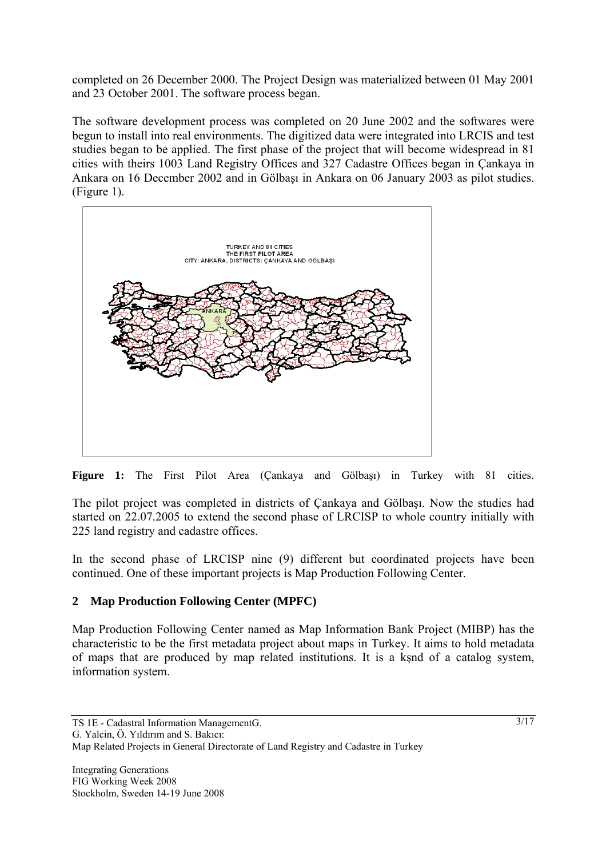completed on 26 December 2000. The Project Design was materialized between 01 May 2001 and 23 October 2001. The software process began.

The software development process was completed on 20 June 2002 and the softwares were begun to install into real environments. The digitized data were integrated into LRCIS and test studies began to be applied. The first phase of the project that will become widespread in 81 cities with theirs 1003 Land Registry Offices and 327 Cadastre Offices began in Çankaya in Ankara on 16 December 2002 and in Gölbaşı in Ankara on 06 January 2003 as pilot studies. (Figure 1).





The pilot project was completed in districts of Çankaya and Gölbaşı. Now the studies had started on 22.07.2005 to extend the second phase of LRCISP to whole country initially with 225 land registry and cadastre offices.

In the second phase of LRCISP nine (9) different but coordinated projects have been continued. One of these important projects is Map Production Following Center.

### **2 Map Production Following Center (MPFC)**

Map Production Following Center named as Map Information Bank Project (MIBP) has the characteristic to be the first metadata project about maps in Turkey. It aims to hold metadata of maps that are produced by map related institutions. It is a kşnd of a catalog system, information system.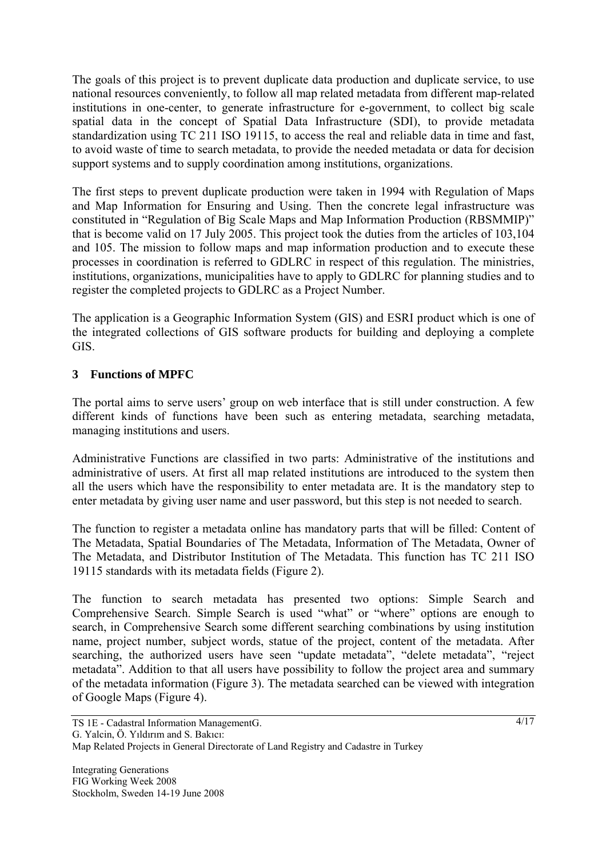The goals of this project is to prevent duplicate data production and duplicate service, to use national resources conveniently, to follow all map related metadata from different map-related institutions in one-center, to generate infrastructure for e-government, to collect big scale spatial data in the concept of Spatial Data Infrastructure (SDI), to provide metadata standardization using TC 211 ISO 19115, to access the real and reliable data in time and fast, to avoid waste of time to search metadata, to provide the needed metadata or data for decision support systems and to supply coordination among institutions, organizations.

The first steps to prevent duplicate production were taken in 1994 with Regulation of Maps and Map Information for Ensuring and Using. Then the concrete legal infrastructure was constituted in "Regulation of Big Scale Maps and Map Information Production (RBSMMIP)" that is become valid on 17 July 2005. This project took the duties from the articles of 103,104 and 105. The mission to follow maps and map information production and to execute these processes in coordination is referred to GDLRC in respect of this regulation. The ministries, institutions, organizations, municipalities have to apply to GDLRC for planning studies and to register the completed projects to GDLRC as a Project Number.

The application is a Geographic Information System (GIS) and ESRI product which is one of the integrated collections of GIS software products for building and deploying a complete GIS.

### **3 Functions of MPFC**

The portal aims to serve users' group on web interface that is still under construction. A few different kinds of functions have been such as entering metadata, searching metadata, managing institutions and users.

Administrative Functions are classified in two parts: Administrative of the institutions and administrative of users. At first all map related institutions are introduced to the system then all the users which have the responsibility to enter metadata are. It is the mandatory step to enter metadata by giving user name and user password, but this step is not needed to search.

The function to register a metadata online has mandatory parts that will be filled: Content of The Metadata, Spatial Boundaries of The Metadata, Information of The Metadata, Owner of The Metadata, and Distributor Institution of The Metadata. This function has TC 211 ISO 19115 standards with its metadata fields (Figure 2).

The function to search metadata has presented two options: Simple Search and Comprehensive Search. Simple Search is used "what" or "where" options are enough to search, in Comprehensive Search some different searching combinations by using institution name, project number, subject words, statue of the project, content of the metadata. After searching, the authorized users have seen "update metadata", "delete metadata", "reject metadata". Addition to that all users have possibility to follow the project area and summary of the metadata information (Figure 3). The metadata searched can be viewed with integration of Google Maps (Figure 4).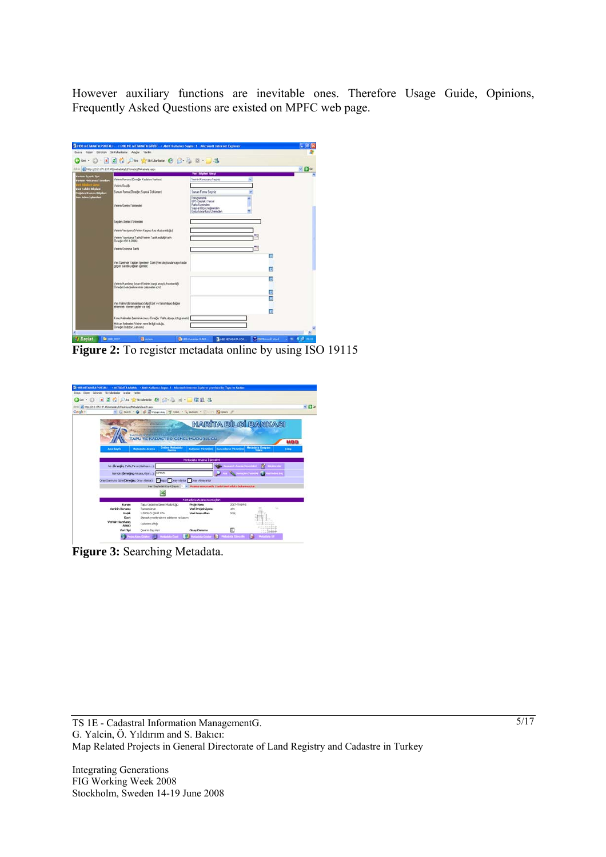However auxiliary functions are inevitable ones. Therefore Usage Guide, Opinions, Frequently Asked Questions are existed on MPFC web page.

|                                                             | Altes @ http://212.175.137.45/netadata/Ultimetic/Metadata.aspx                                           |                                                                                  |   | $-90$ |
|-------------------------------------------------------------|----------------------------------------------------------------------------------------------------------|----------------------------------------------------------------------------------|---|-------|
|                                                             |                                                                                                          | Van Exhance Corre                                                                |   |       |
| <b>Fortrom Scorth New</b><br>Fertren Holkansaf Sendan       | Veinin Konusu (Ömeğin Kadatıro harkası)                                                                  | Vieinin Konusurus Seginiz                                                        |   |       |
| <b>Bäglert Great</b>                                        | Verinin Back&                                                                                            |                                                                                  |   |       |
| <b>Ford Safedot Biballoni</b><br><b>Jabbo Karan Bilgian</b> | Sunum Formu (Omeğin, Sayısal Dökümen)                                                                    | Surrum Formu Seciniz                                                             |   |       |
| an Aden Islandari                                           |                                                                                                          | Fotogrametrik<br>GPS Dectak& Yersel                                              |   |       |
|                                                             | Verinin Ebertin Vicintembri                                                                              | Palta Useinden<br>Sausai Dinii Deăeinden<br><b>Usefu Goognisms (Trenington</b> ) |   |       |
|                                                             | Seclim Uletin Yorannieri                                                                                 |                                                                                  |   |       |
|                                                             | Veinin Versijonu (Verinin Kaçıncı kez oluşturulduğu)                                                     |                                                                                  |   |       |
|                                                             | Veiran Yaunlana Tarihi (Veiran Tartik edildiği tarih<br>Diriedin: 19.11.2006)                            |                                                                                  |   |       |
|                                                             | Verinin Circunnus Tanhi                                                                                  |                                                                                  |   |       |
|                                                             | Veri Üzerinde Yapıları İşlenilerin Özeti (Veri oluşturuluncaya kadar<br>geçen sürede yapılan içleniler). |                                                                                  | Е |       |
|                                                             |                                                                                                          |                                                                                  | n |       |
|                                                             |                                                                                                          |                                                                                  |   |       |
|                                                             | Veinin Hazılanış Amacı (Veinin hangi amaçla hazılandığı)                                                 |                                                                                  |   |       |
|                                                             | Omeğin Beledyelerin imar çakşmaları içinil                                                               |                                                                                  | Ξ |       |
|                                                             |                                                                                                          |                                                                                  | Ξ |       |
|                                                             | Vesi Hakkında tananılaycı bilgi (Üzet ve tananılaycı bilgiye<br>eklerinek istenen şeyler var isel        |                                                                                  | ø |       |
|                                                             | Konu Kelineleri (Veririn konusu Ömeğin: Pafta altı aputotogrametri)                                      |                                                                                  |   |       |
|                                                             | Mekan Kelimeleri (Veriran neve ile ilgili olduğu.                                                        |                                                                                  |   |       |

**Figure 2:** To register metadata online by using ISO 19115

| [8] Ntp (212.175.137.45/establish/Etachion)/MitadataSearch.ago. |                                                                                                            |                                                                              |                                                           |                                          |  |  |
|-----------------------------------------------------------------|------------------------------------------------------------------------------------------------------------|------------------------------------------------------------------------------|-----------------------------------------------------------|------------------------------------------|--|--|
| Coope -                                                         | W C Seeh - O C Choos day 7 Oed - L Ators - Charles Fotow 3                                                 |                                                                              |                                                           |                                          |  |  |
| <b>Ana Sayfa</b>                                                | <b>TAPU VE KADASTRO GENEL MUDURLUGU</b><br><b>Online Metadata</b><br><i>Formu</i><br><b>Matadota Arama</b> | <b>Kullanıcı Yünetimi</b>                                                    | <b>HARITA BILGI BANKASI</b><br><b>Karumların Yönetimi</b> | HBB<br><b>Metadata Cosyan</b><br>Cities. |  |  |
|                                                                 |                                                                                                            | Metadata Arama Islemieri                                                     |                                                           |                                          |  |  |
| No (Drnedin; Pafts ParsetHalfvary)                              |                                                                                                            |                                                                              | <b>Cap Repeated Actories Secured and Cap Residentials</b> |                                          |  |  |
|                                                                 | Nerede (Drneding Arkana, Afron., 3) 2445Uh                                                                 |                                                                              |                                                           | <b>Narttadan Sm</b>                      |  |  |
|                                                                 | Onay Durmuna Göre (Deneğin; Onay Alanlar) 4 yapısı Chray Alanlar Druy Almayanlar                           |                                                                              |                                                           |                                          |  |  |
|                                                                 |                                                                                                            | Her Sayfadai Kayit Sayis: 1 > Acama scrucsmila 1 adet metadata bukanınıştır. |                                                           |                                          |  |  |
|                                                                 |                                                                                                            |                                                                              |                                                           |                                          |  |  |
|                                                                 |                                                                                                            | Metadata Arama Sonudan                                                       |                                                           |                                          |  |  |
| Kurum<br><b>Verioùs Durantes</b><br><b>Bask</b><br>Covet        | Tapu Kadastro Genel Maduriaĝo<br>Tansaniarun.<br>1:5000 OUGBLI STH<br>Stereokometlendinne editiene ve basm | Proje Nosa<br>Veri Projeksiyonu<br>Veri Formatian                            | 2007-TK/24-B<br><b>USH</b><br>DOM:                        |                                          |  |  |
| Verinin Hazeland<br><b>Anacs</b>                                | Kadastrs altids                                                                                            |                                                                              |                                                           | <b>ALLEN AND</b>                         |  |  |
| Vori Tipi                                                       | Cavaries Day Vert                                                                                          | <b>Onay Dunmer</b>                                                           |                                                           |                                          |  |  |

**Figure 3:** Searching Metadata.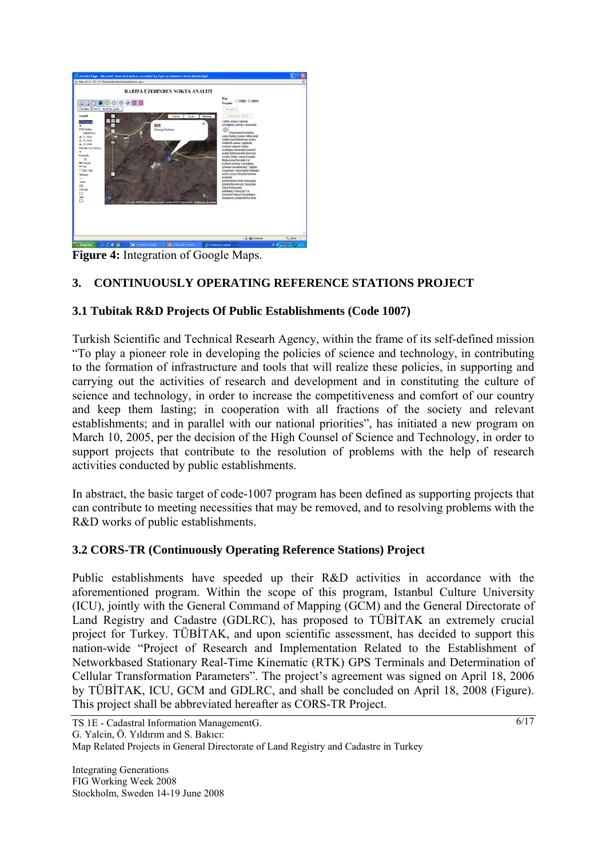

**Figure 4:** Integration of Google Maps.

### **3. CONTINUOUSLY OPERATING REFERENCE STATIONS PROJECT**

### **3.1 Tubitak R&D Projects Of Public Establishments (Code 1007)**

Turkish Scientific and Technical Researh Agency, within the frame of its self-defined mission "To play a pioneer role in developing the policies of science and technology, in contributing to the formation of infrastructure and tools that will realize these policies, in supporting and carrying out the activities of research and development and in constituting the culture of science and technology, in order to increase the competitiveness and comfort of our country and keep them lasting; in cooperation with all fractions of the society and relevant establishments; and in parallel with our national priorities", has initiated a new program on March 10, 2005, per the decision of the High Counsel of Science and Technology, in order to support projects that contribute to the resolution of problems with the help of research activities conducted by public establishments.

In abstract, the basic target of code-1007 program has been defined as supporting projects that can contribute to meeting necessities that may be removed, and to resolving problems with the R&D works of public establishments.

#### **3.2 CORS-TR (Continuously Operating Reference Stations) Project**

Public establishments have speeded up their R&D activities in accordance with the aforementioned program. Within the scope of this program, Istanbul Culture University (ICU), jointly with the General Command of Mapping (GCM) and the General Directorate of Land Registry and Cadastre (GDLRC), has proposed to TÜBİTAK an extremely crucial project for Turkey. TÜBİTAK, and upon scientific assessment, has decided to support this nation-wide "Project of Research and Implementation Related to the Establishment of Networkbased Stationary Real-Time Kinematic (RTK) GPS Terminals and Determination of Cellular Transformation Parameters". The project's agreement was signed on April 18, 2006 by TÜBİTAK, ICU, GCM and GDLRC, and shall be concluded on April 18, 2008 (Figure). This project shall be abbreviated hereafter as CORS-TR Project.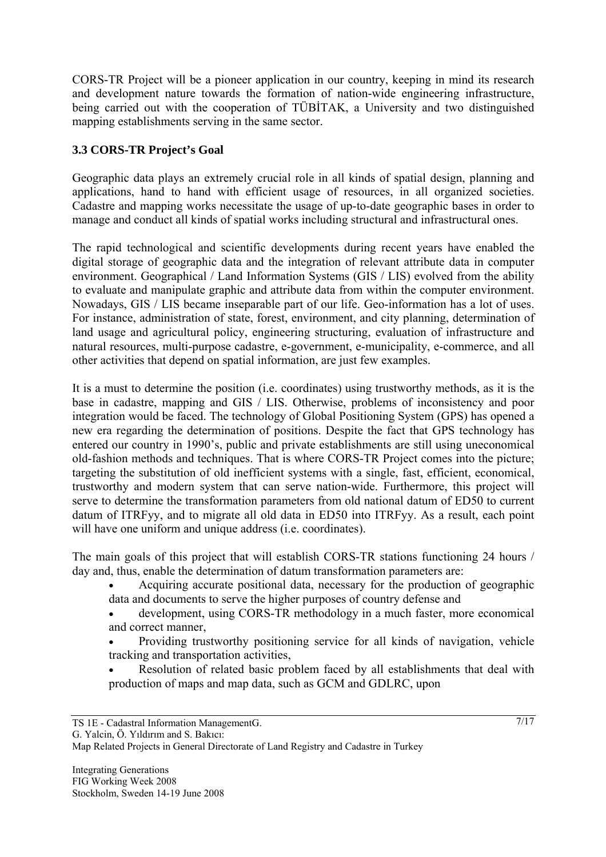CORS-TR Project will be a pioneer application in our country, keeping in mind its research and development nature towards the formation of nation-wide engineering infrastructure, being carried out with the cooperation of TÜBİTAK, a University and two distinguished mapping establishments serving in the same sector.

### **3.3 CORS-TR Project's Goal**

Geographic data plays an extremely crucial role in all kinds of spatial design, planning and applications, hand to hand with efficient usage of resources, in all organized societies. Cadastre and mapping works necessitate the usage of up-to-date geographic bases in order to manage and conduct all kinds of spatial works including structural and infrastructural ones.

The rapid technological and scientific developments during recent years have enabled the digital storage of geographic data and the integration of relevant attribute data in computer environment. Geographical / Land Information Systems (GIS / LIS) evolved from the ability to evaluate and manipulate graphic and attribute data from within the computer environment. Nowadays, GIS / LIS became inseparable part of our life. Geo-information has a lot of uses. For instance, administration of state, forest, environment, and city planning, determination of land usage and agricultural policy, engineering structuring, evaluation of infrastructure and natural resources, multi-purpose cadastre, e-government, e-municipality, e-commerce, and all other activities that depend on spatial information, are just few examples.

It is a must to determine the position (i.e. coordinates) using trustworthy methods, as it is the base in cadastre, mapping and GIS / LIS. Otherwise, problems of inconsistency and poor integration would be faced. The technology of Global Positioning System (GPS) has opened a new era regarding the determination of positions. Despite the fact that GPS technology has entered our country in 1990's, public and private establishments are still using uneconomical old-fashion methods and techniques. That is where CORS-TR Project comes into the picture; targeting the substitution of old inefficient systems with a single, fast, efficient, economical, trustworthy and modern system that can serve nation-wide. Furthermore, this project will serve to determine the transformation parameters from old national datum of ED50 to current datum of ITRFyy, and to migrate all old data in ED50 into ITRFyy. As a result, each point will have one uniform and unique address (i.e. coordinates).

The main goals of this project that will establish CORS-TR stations functioning 24 hours / day and, thus, enable the determination of datum transformation parameters are:

- Acquiring accurate positional data, necessary for the production of geographic data and documents to serve the higher purposes of country defense and
- development, using CORS-TR methodology in a much faster, more economical and correct manner,
- Providing trustworthy positioning service for all kinds of navigation, vehicle tracking and transportation activities,
- Resolution of related basic problem faced by all establishments that deal with production of maps and map data, such as GCM and GDLRC, upon

```
G. Yalcin, Ö. Yıldırım and S. Bakıcı:
```

```
Map Related Projects in General Directorate of Land Registry and Cadastre in Turkey
```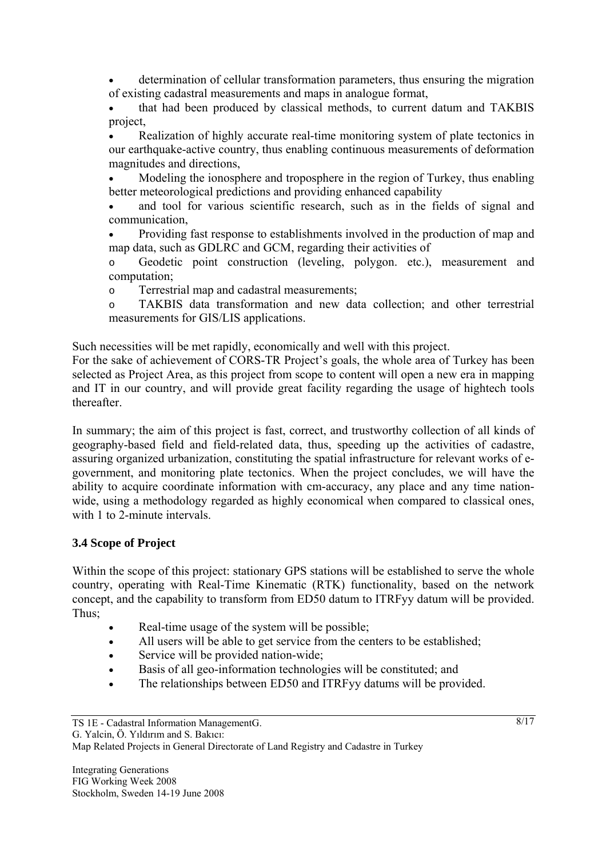• determination of cellular transformation parameters, thus ensuring the migration of existing cadastral measurements and maps in analogue format,

• that had been produced by classical methods, to current datum and TAKBIS project,

Realization of highly accurate real-time monitoring system of plate tectonics in our earthquake-active country, thus enabling continuous measurements of deformation magnitudes and directions,

• Modeling the ionosphere and troposphere in the region of Turkey, thus enabling better meteorological predictions and providing enhanced capability

and tool for various scientific research, such as in the fields of signal and communication,

• Providing fast response to establishments involved in the production of map and map data, such as GDLRC and GCM, regarding their activities of

o Geodetic point construction (leveling, polygon. etc.), measurement and computation;

o Terrestrial map and cadastral measurements;

o TAKBIS data transformation and new data collection; and other terrestrial measurements for GIS/LIS applications.

Such necessities will be met rapidly, economically and well with this project.

For the sake of achievement of CORS-TR Project's goals, the whole area of Turkey has been selected as Project Area, as this project from scope to content will open a new era in mapping and IT in our country, and will provide great facility regarding the usage of hightech tools thereafter.

In summary; the aim of this project is fast, correct, and trustworthy collection of all kinds of geography-based field and field-related data, thus, speeding up the activities of cadastre, assuring organized urbanization, constituting the spatial infrastructure for relevant works of egovernment, and monitoring plate tectonics. When the project concludes, we will have the ability to acquire coordinate information with cm-accuracy, any place and any time nationwide, using a methodology regarded as highly economical when compared to classical ones, with 1 to 2-minute intervals.

#### **3.4 Scope of Project**

Within the scope of this project: stationary GPS stations will be established to serve the whole country, operating with Real-Time Kinematic (RTK) functionality, based on the network concept, and the capability to transform from ED50 datum to ITRFyy datum will be provided. Thus;

- Real-time usage of the system will be possible;
- All users will be able to get service from the centers to be established:
- Service will be provided nation-wide;
- Basis of all geo-information technologies will be constituted; and
- The relationships between ED50 and ITRFyy datums will be provided.

```
G. Yalcin, Ö. Yıldırım and S. Bakıcı:
```
Map Related Projects in General Directorate of Land Registry and Cadastre in Turkey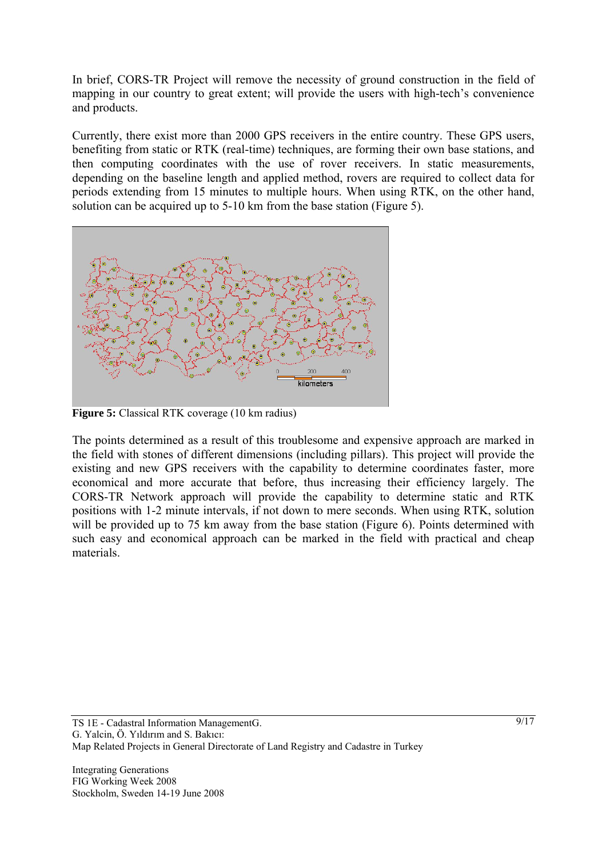In brief, CORS-TR Project will remove the necessity of ground construction in the field of mapping in our country to great extent; will provide the users with high-tech's convenience and products.

Currently, there exist more than 2000 GPS receivers in the entire country. These GPS users, benefiting from static or RTK (real-time) techniques, are forming their own base stations, and then computing coordinates with the use of rover receivers. In static measurements, depending on the baseline length and applied method, rovers are required to collect data for periods extending from 15 minutes to multiple hours. When using RTK, on the other hand, solution can be acquired up to 5-10 km from the base station (Figure 5).



**Figure 5:** Classical RTK coverage (10 km radius)

The points determined as a result of this troublesome and expensive approach are marked in the field with stones of different dimensions (including pillars). This project will provide the existing and new GPS receivers with the capability to determine coordinates faster, more economical and more accurate that before, thus increasing their efficiency largely. The CORS-TR Network approach will provide the capability to determine static and RTK positions with 1-2 minute intervals, if not down to mere seconds. When using RTK, solution will be provided up to 75 km away from the base station (Figure 6). Points determined with such easy and economical approach can be marked in the field with practical and cheap materials.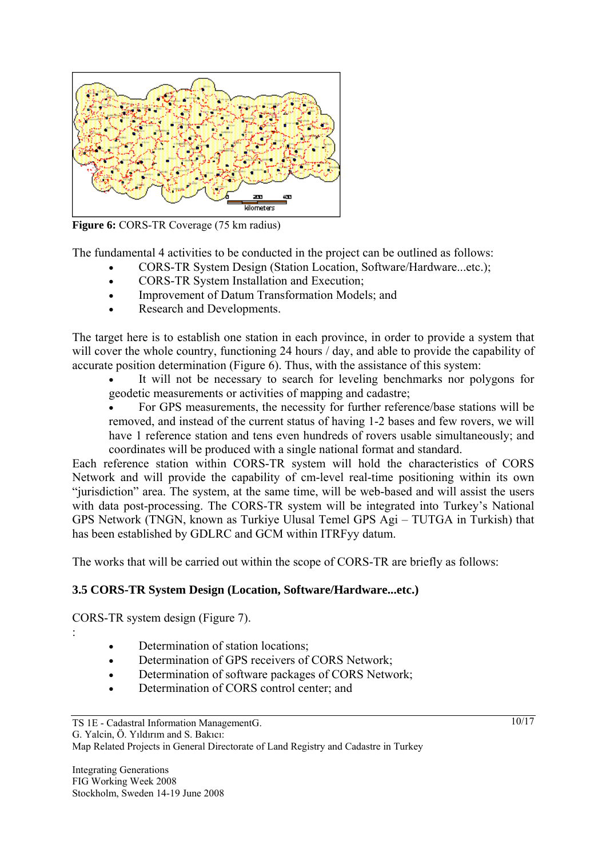

**Figure 6:** CORS-TR Coverage (75 km radius)

The fundamental 4 activities to be conducted in the project can be outlined as follows:

- CORS-TR System Design (Station Location, Software/Hardware...etc.);
- CORS-TR System Installation and Execution;
- Improvement of Datum Transformation Models; and
- Research and Developments.

The target here is to establish one station in each province, in order to provide a system that will cover the whole country, functioning 24 hours / day, and able to provide the capability of accurate position determination (Figure  $\vec{6}$ ). Thus, with the assistance of this system:

It will not be necessary to search for leveling benchmarks nor polygons for geodetic measurements or activities of mapping and cadastre;

• For GPS measurements, the necessity for further reference/base stations will be removed, and instead of the current status of having 1-2 bases and few rovers, we will have 1 reference station and tens even hundreds of rovers usable simultaneously; and coordinates will be produced with a single national format and standard.

Each reference station within CORS-TR system will hold the characteristics of CORS Network and will provide the capability of cm-level real-time positioning within its own "jurisdiction" area. The system, at the same time, will be web-based and will assist the users with data post-processing. The CORS-TR system will be integrated into Turkey's National GPS Network (TNGN, known as Turkiye Ulusal Temel GPS Agi – TUTGA in Turkish) that has been established by GDLRC and GCM within ITRFyy datum.

The works that will be carried out within the scope of CORS-TR are briefly as follows:

#### **3.5 CORS-TR System Design (Location, Software/Hardware...etc.)**

CORS-TR system design (Figure 7).

:

- Determination of station locations;
- Determination of GPS receivers of CORS Network;
- Determination of software packages of CORS Network;
- Determination of CORS control center; and

Map Related Projects in General Directorate of Land Registry and Cadastre in Turkey

10/17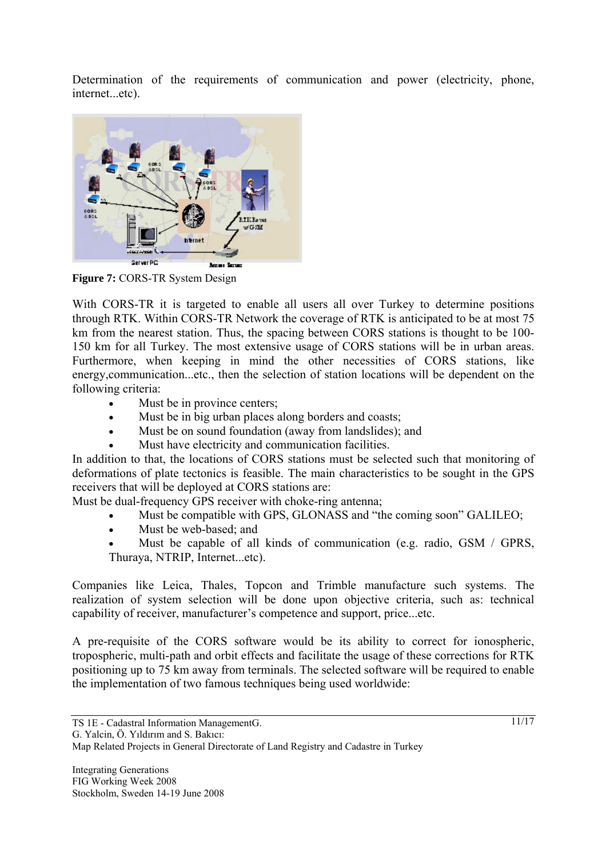Determination of the requirements of communication and power (electricity, phone, internet...etc).



**Figure 7: CORS-TR System Design** 

With CORS-TR it is targeted to enable all users all over Turkey to determine positions through RTK. Within CORS-TR Network the coverage of RTK is anticipated to be at most 75 km from the nearest station. Thus, the spacing between CORS stations is thought to be 100- 150 km for all Turkey. The most extensive usage of CORS stations will be in urban areas. Furthermore, when keeping in mind the other necessities of CORS stations, like energy,communication...etc., then the selection of station locations will be dependent on the following criteria:

- Must be in province centers;
- Must be in big urban places along borders and coasts;
- Must be on sound foundation (away from landslides); and
- Must have electricity and communication facilities.

In addition to that, the locations of CORS stations must be selected such that monitoring of deformations of plate tectonics is feasible. The main characteristics to be sought in the GPS receivers that will be deployed at CORS stations are:

Must be dual-frequency GPS receiver with choke-ring antenna;

- Must be compatible with GPS, GLONASS and "the coming soon" GALILEO;
- Must be web-based; and
- Must be capable of all kinds of communication (e.g. radio, GSM / GPRS, Thuraya, NTRIP, Internet...etc).

Companies like Leica, Thales, Topcon and Trimble manufacture such systems. The realization of system selection will be done upon objective criteria, such as: technical capability of receiver, manufacturer's competence and support, price...etc.

A pre-requisite of the CORS software would be its ability to correct for ionospheric, tropospheric, multi-path and orbit effects and facilitate the usage of these corrections for RTK positioning up to 75 km away from terminals. The selected software will be required to enable the implementation of two famous techniques being used worldwide: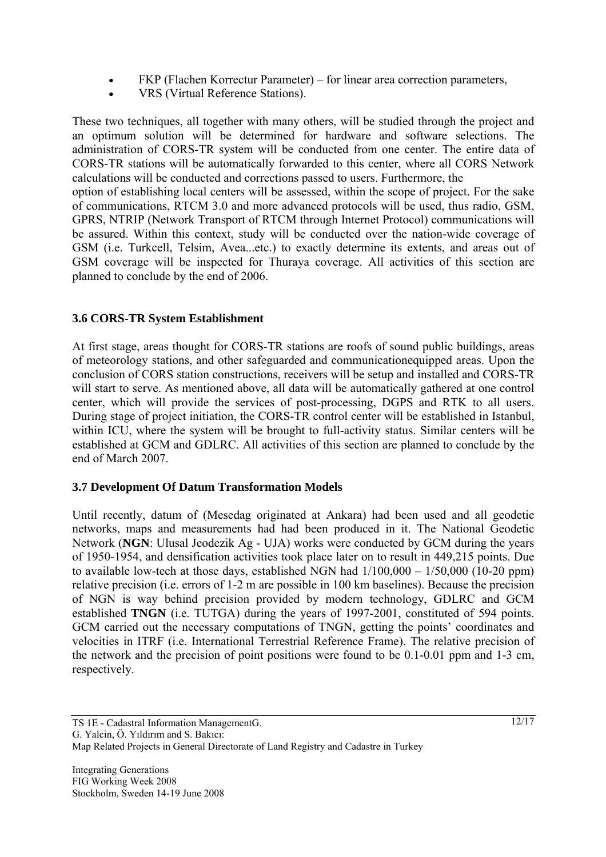- FKP (Flachen Korrectur Parameter) for linear area correction parameters,
- VRS (Virtual Reference Stations).

These two techniques, all together with many others, will be studied through the project and an optimum solution will be determined for hardware and software selections. The administration of CORS-TR system will be conducted from one center. The entire data of CORS-TR stations will be automatically forwarded to this center, where all CORS Network calculations will be conducted and corrections passed to users. Furthermore, the

option of establishing local centers will be assessed, within the scope of project. For the sake of communications, RTCM 3.0 and more advanced protocols will be used, thus radio, GSM, GPRS, NTRIP (Network Transport of RTCM through Internet Protocol) communications will be assured. Within this context, study will be conducted over the nation-wide coverage of GSM (i.e. Turkcell, Telsim, Avea...etc.) to exactly determine its extents, and areas out of GSM coverage will be inspected for Thuraya coverage. All activities of this section are planned to conclude by the end of 2006.

### **3.6 CORS-TR System Establishment**

At first stage, areas thought for CORS-TR stations are roofs of sound public buildings, areas of meteorology stations, and other safeguarded and communicationequipped areas. Upon the conclusion of CORS station constructions, receivers will be setup and installed and CORS-TR will start to serve. As mentioned above, all data will be automatically gathered at one control center, which will provide the services of post-processing, DGPS and RTK to all users. During stage of project initiation, the CORS-TR control center will be established in Istanbul, within ICU, where the system will be brought to full-activity status. Similar centers will be established at GCM and GDLRC. All activities of this section are planned to conclude by the end of March 2007.

#### **3.7 Development Of Datum Transformation Models**

Until recently, datum of (Mesedag originated at Ankara) had been used and all geodetic networks, maps and measurements had had been produced in it. The National Geodetic Network (**NGN**: Ulusal Jeodezik Ag - UJA) works were conducted by GCM during the years of 1950-1954, and densification activities took place later on to result in 449,215 points. Due to available low-tech at those days, established NGN had  $1/100,000 - 1/50,000$  (10-20 ppm) relative precision (i.e. errors of 1-2 m are possible in 100 km baselines). Because the precision of NGN is way behind precision provided by modern technology, GDLRC and GCM established **TNGN** (i.e. TUTGA) during the years of 1997-2001, constituted of 594 points. GCM carried out the necessary computations of TNGN, getting the points' coordinates and velocities in ITRF (i.e. International Terrestrial Reference Frame). The relative precision of the network and the precision of point positions were found to be 0.1-0.01 ppm and 1-3 cm, respectively.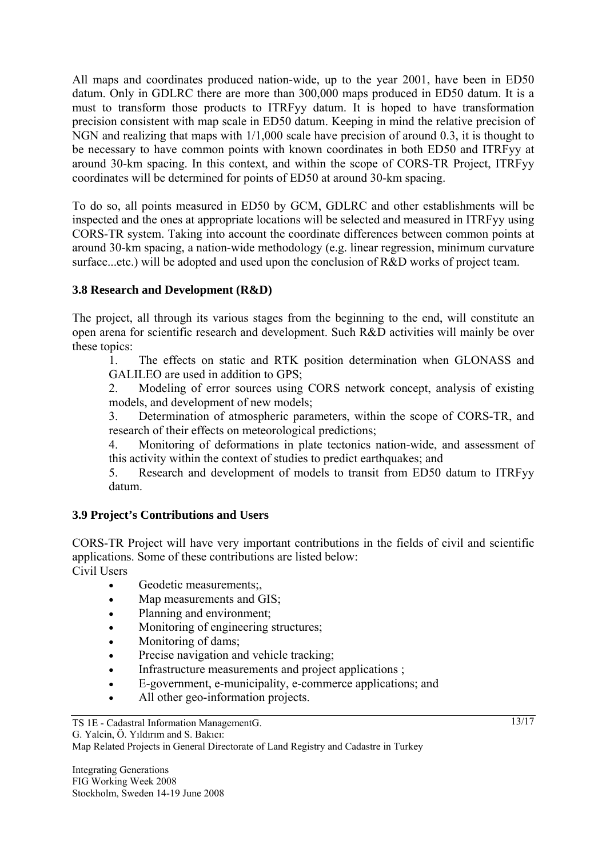All maps and coordinates produced nation-wide, up to the year 2001, have been in ED50 datum. Only in GDLRC there are more than 300,000 maps produced in ED50 datum. It is a must to transform those products to ITRFyy datum. It is hoped to have transformation precision consistent with map scale in ED50 datum. Keeping in mind the relative precision of NGN and realizing that maps with 1/1,000 scale have precision of around 0.3, it is thought to be necessary to have common points with known coordinates in both ED50 and ITRFyy at around 30-km spacing. In this context, and within the scope of CORS-TR Project, ITRFyy coordinates will be determined for points of ED50 at around 30-km spacing.

To do so, all points measured in ED50 by GCM, GDLRC and other establishments will be inspected and the ones at appropriate locations will be selected and measured in ITRFyy using CORS-TR system. Taking into account the coordinate differences between common points at around 30-km spacing, a nation-wide methodology (e.g. linear regression, minimum curvature surface...etc.) will be adopted and used upon the conclusion of R&D works of project team.

### **3.8 Research and Development (R&D)**

The project, all through its various stages from the beginning to the end, will constitute an open arena for scientific research and development. Such R&D activities will mainly be over these topics:

1. The effects on static and RTK position determination when GLONASS and GALILEO are used in addition to GPS;

2. Modeling of error sources using CORS network concept, analysis of existing models, and development of new models;

3. Determination of atmospheric parameters, within the scope of CORS-TR, and research of their effects on meteorological predictions;

4. Monitoring of deformations in plate tectonics nation-wide, and assessment of this activity within the context of studies to predict earthquakes; and

5. Research and development of models to transit from ED50 datum to ITRFyy datum.

### **3.9 Project's Contributions and Users**

CORS-TR Project will have very important contributions in the fields of civil and scientific applications. Some of these contributions are listed below: Civil Users

- Geodetic measurements:
- Map measurements and GIS;
- Planning and environment;
- Monitoring of engineering structures;
- Monitoring of dams:
- Precise navigation and vehicle tracking;
- Infrastructure measurements and project applications ;
- E-government, e-municipality, e-commerce applications; and
- All other geo-information projects.

Map Related Projects in General Directorate of Land Registry and Cadastre in Turkey

 $13/17$ 

TS 1E - Cadastral Information ManagementG.

G. Yalcin, Ö. Yıldırım and S. Bakıcı: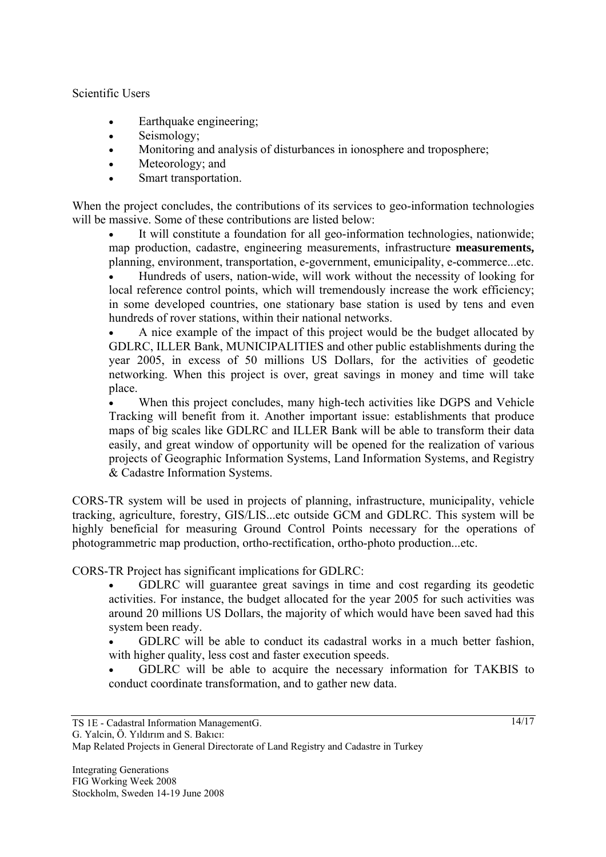Scientific Users

- Earthquake engineering;
- Seismology;
- Monitoring and analysis of disturbances in ionosphere and troposphere;
- Meteorology; and
- Smart transportation.

When the project concludes, the contributions of its services to geo-information technologies will be massive. Some of these contributions are listed below:

It will constitute a foundation for all geo-information technologies, nationwide; map production, cadastre, engineering measurements, infrastructure **measurements,**  planning, environment, transportation, e-government, emunicipality, e-commerce...etc.

• Hundreds of users, nation-wide, will work without the necessity of looking for local reference control points, which will tremendously increase the work efficiency; in some developed countries, one stationary base station is used by tens and even hundreds of rover stations, within their national networks.

• A nice example of the impact of this project would be the budget allocated by GDLRC, ILLER Bank, MUNICIPALITIES and other public establishments during the year 2005, in excess of 50 millions US Dollars, for the activities of geodetic networking. When this project is over, great savings in money and time will take place.

• When this project concludes, many high-tech activities like DGPS and Vehicle Tracking will benefit from it. Another important issue: establishments that produce maps of big scales like GDLRC and ILLER Bank will be able to transform their data easily, and great window of opportunity will be opened for the realization of various projects of Geographic Information Systems, Land Information Systems, and Registry & Cadastre Information Systems.

CORS-TR system will be used in projects of planning, infrastructure, municipality, vehicle tracking, agriculture, forestry, GIS/LIS...etc outside GCM and GDLRC. This system will be highly beneficial for measuring Ground Control Points necessary for the operations of photogrammetric map production, ortho-rectification, ortho-photo production...etc.

CORS-TR Project has significant implications for GDLRC:

• GDLRC will guarantee great savings in time and cost regarding its geodetic activities. For instance, the budget allocated for the year 2005 for such activities was around 20 millions US Dollars, the majority of which would have been saved had this system been ready.

• GDLRC will be able to conduct its cadastral works in a much better fashion, with higher quality, less cost and faster execution speeds.

• GDLRC will be able to acquire the necessary information for TAKBIS to conduct coordinate transformation, and to gather new data.

G. Yalcin, Ö. Yıldırım and S. Bakıcı:

TS 1E - Cadastral Information ManagementG.

Map Related Projects in General Directorate of Land Registry and Cadastre in Turkey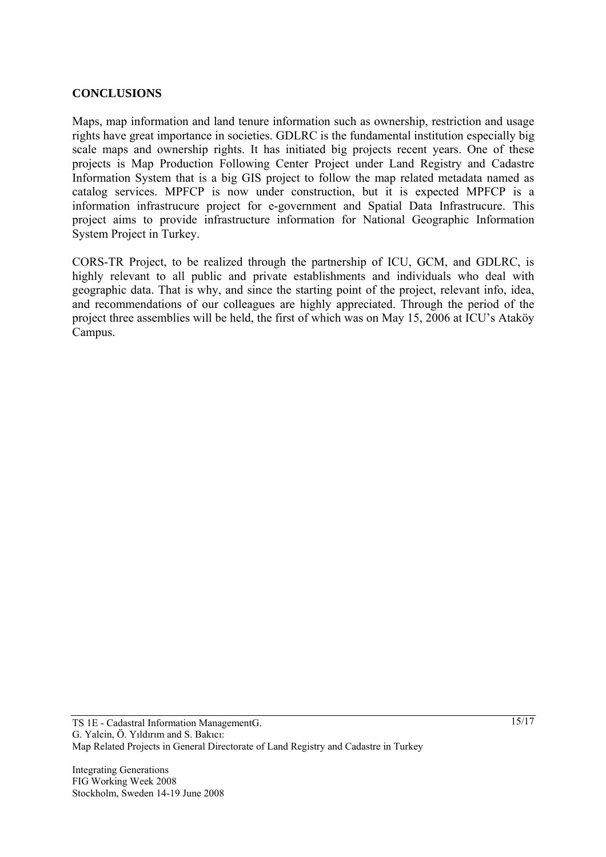#### **CONCLUSIONS**

Maps, map information and land tenure information such as ownership, restriction and usage rights have great importance in societies. GDLRC is the fundamental institution especially big scale maps and ownership rights. It has initiated big projects recent years. One of these projects is Map Production Following Center Project under Land Registry and Cadastre Information System that is a big GIS project to follow the map related metadata named as catalog services. MPFCP is now under construction, but it is expected MPFCP is a information infrastrucure project for e-government and Spatial Data Infrastrucure. This project aims to provide infrastructure information for National Geographic Information System Project in Turkey.

CORS-TR Project, to be realized through the partnership of ICU, GCM, and GDLRC, is highly relevant to all public and private establishments and individuals who deal with geographic data. That is why, and since the starting point of the project, relevant info, idea, and recommendations of our colleagues are highly appreciated. Through the period of the project three assemblies will be held, the first of which was on May 15, 2006 at ICU's Ataköy Campus.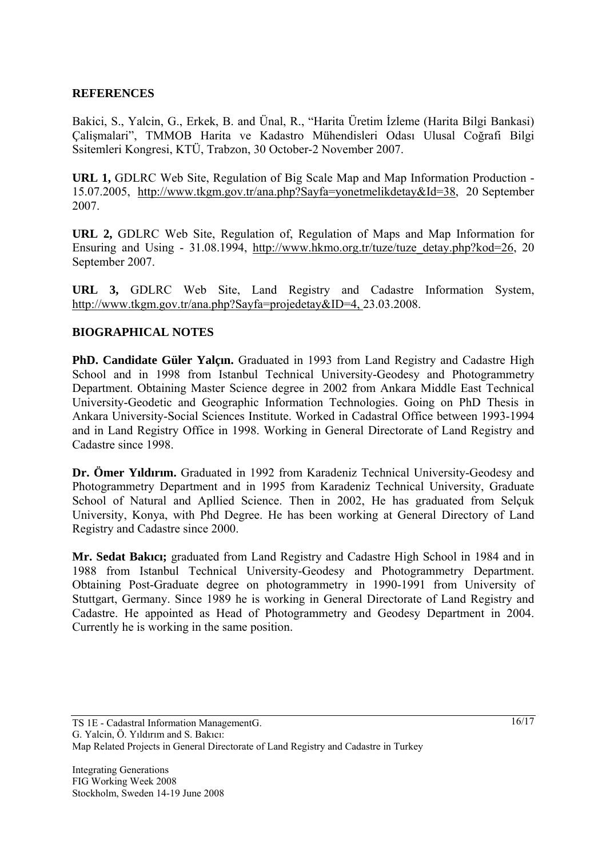#### **REFERENCES**

Bakici, S., Yalcin, G., Erkek, B. and Ünal, R., "Harita Üretim İzleme (Harita Bilgi Bankasi) Çalişmalari", TMMOB Harita ve Kadastro Mühendisleri Odası Ulusal Coğrafi Bilgi Ssitemleri Kongresi, KTÜ, Trabzon, 30 October-2 November 2007.

**URL 1,** GDLRC Web Site, Regulation of Big Scale Map and Map Information Production - 15.07.2005, http://www.tkgm.gov.tr/ana.php?Sayfa=yonetmelikdetay&Id=38, 20 September 2007.

**URL 2,** GDLRC Web Site, Regulation of, Regulation of Maps and Map Information for Ensuring and Using - 31.08.1994, http://www.hkmo.org.tr/tuze/tuze\_detay.php?kod=26, 20 September 2007.

**URL 3,** GDLRC Web Site, Land Registry and Cadastre Information System, http://www.tkgm.gov.tr/ana.php?Sayfa=projedetay&ID=4, 23.03.2008.

### **BIOGRAPHICAL NOTES**

**PhD. Candidate Güler Yalçın.** Graduated in 1993 from Land Registry and Cadastre High School and in 1998 from Istanbul Technical University-Geodesy and Photogrammetry Department. Obtaining Master Science degree in 2002 from Ankara Middle East Technical University-Geodetic and Geographic Information Technologies. Going on PhD Thesis in Ankara University-Social Sciences Institute. Worked in Cadastral Office between 1993-1994 and in Land Registry Office in 1998. Working in General Directorate of Land Registry and Cadastre since 1998.

**Dr. Ömer Yıldırım.** Graduated in 1992 from Karadeniz Technical University-Geodesy and Photogrammetry Department and in 1995 from Karadeniz Technical University, Graduate School of Natural and Apllied Science. Then in 2002, He has graduated from Selçuk University, Konya, with Phd Degree. He has been working at General Directory of Land Registry and Cadastre since 2000.

**Mr. Sedat Bakıcı;** graduated from Land Registry and Cadastre High School in 1984 and in 1988 from Istanbul Technical University-Geodesy and Photogrammetry Department. Obtaining Post-Graduate degree on photogrammetry in 1990-1991 from University of Stuttgart, Germany. Since 1989 he is working in General Directorate of Land Registry and Cadastre. He appointed as Head of Photogrammetry and Geodesy Department in 2004. Currently he is working in the same position.